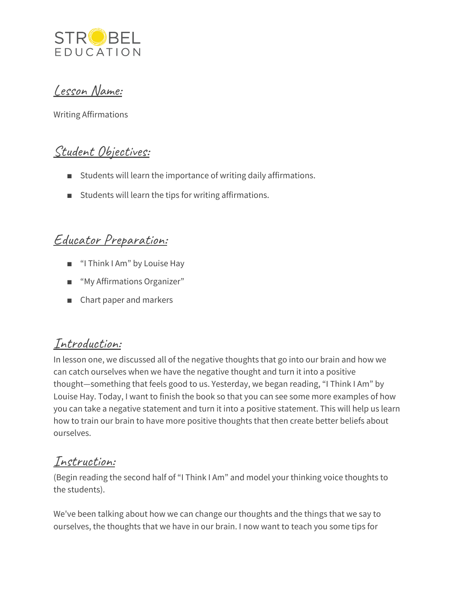

Lesson Name:

Writing Affirmations

# Student Objectives:

- Students will learn the importance of writing daily affirmations.
- Students will learn the tips for writing affirmations.

## Educator Preparation:

- "I Think I Am" by Louise Hay
- "My Affirmations Organizer"
- Chart paper and markers

### Introduction:

In lesson one, we discussed all of the negative thoughts that go into our brain and how we can catch ourselves when we have the negative thought and turn it into a positive thought—something that feels good to us. Yesterday, we began reading, "I Think I Am" by Louise Hay. Today, I want to finish the book so that you can see some more examples of how you can take a negative statement and turn it into a positive statement. This will help us learn how to train our brain to have more positive thoughts that then create better beliefs about ourselves.

### Instruction:

(Begin reading the second half of "I Think I Am" and model your thinking voice thoughts to the students).

We've been talking about how we can change our thoughts and the things that we say to ourselves, the thoughts that we have in our brain. I now want to teach you some tips for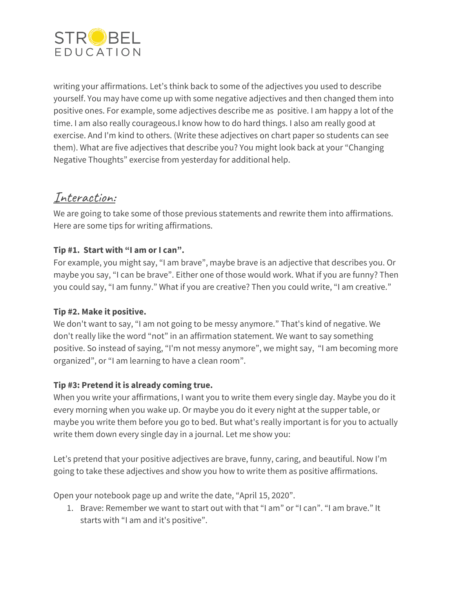

writing your affirmations. Let's think back to some of the adjectives you used to describe yourself. You may have come up with some negative adjectives and then changed them into positive ones. For example, some adjectives describe me as positive. I am happy a lot of the time. I am also really courageous.I know how to do hard things. I also am really good at exercise. And I'm kind to others. (Write these adjectives on chart paper so students can see them). What are five adjectives that describe you? You might look back at your "Changing Negative Thoughts" exercise from yesterday for additional help.

## Interaction:

We are going to take some of those previous statements and rewrite them into affirmations. Here are some tips for writing affirmations.

#### **Tip #1. Start with "I am or I can".**

For example, you might say, "I am brave", maybe brave is an adjective that describes you. Or maybe you say, "I can be brave". Either one of those would work. What if you are funny? Then you could say, "I am funny." What if you are creative? Then you could write, "I am creative."

#### **Tip #2. Make it positive.**

We don't want to say, "I am not going to be messy anymore." That's kind of negative. We don't really like the word "not" in an affirmation statement. We want to say something positive. So instead of saying, "I'm not messy anymore", we might say, "I am becoming more organized", or "I am learning to have a clean room".

#### **Tip #3: Pretend it is already coming true.**

When you write your affirmations, I want you to write them every single day. Maybe you do it every morning when you wake up. Or maybe you do it every night at the supper table, or maybe you write them before you go to bed. But what's really important is for you to actually write them down every single day in a journal. Let me show you:

Let's pretend that your positive adjectives are brave, funny, caring, and beautiful. Now I'm going to take these adjectives and show you how to write them as positive affirmations.

Open your notebook page up and write the date, "April 15, 2020".

1. Brave: Remember we want to start out with that "I am" or "I can". "I am brave." It starts with "I am and it's positive".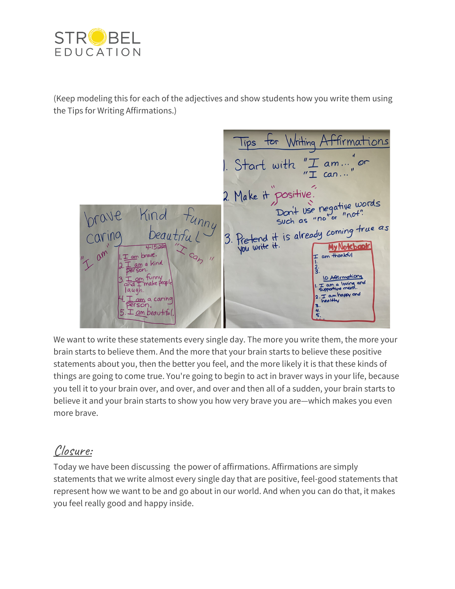

(Keep modeling this for each of the adjectives and show students how you write them using the Tips for Writing Affirmations.)

Writing Affirmations 1. Start with " $\frac{1}{12}$  am..." or<br>2. Make it positive."<br>Don't use negative words<br>such as "no" or "not". Kind Funny<br>beautiful Such as the coming true as<br>3. Pretend it is already coming true as You write it. **My Notchcok** am thankful 10 Affirmations **Unny** a loving I am happy am a carino  $\mathcal{I}$  am beautiful

We want to write these statements every single day. The more you write them, the more your brain starts to believe them. And the more that your brain starts to believe these positive statements about you, then the better you feel, and the more likely it is that these kinds of things are going to come true. You're going to begin to act in braver ways in your life, because you tell it to your brain over, and over, and over and then all of a sudden, your brain starts to believe it and your brain starts to show you how very brave you are—which makes you even more brave.

# Closure:

Today we have been discussing the power of affirmations. Affirmations are simply statements that we write almost every single day that are positive, feel-good statements that represent how we want to be and go about in our world. And when you can do that, it makes you feel really good and happy inside.